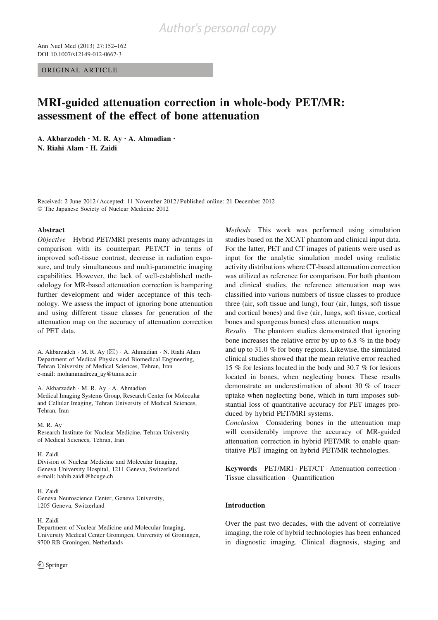ORIGINAL ARTICLE

# MRI-guided attenuation correction in whole-body PET/MR: assessment of the effect of bone attenuation

A. Akbarzadeh • M. R. Ay • A. Ahmadian • N. Riahi Alam • H. Zaidi

Received: 2 June 2012 / Accepted: 11 November 2012 / Published online: 21 December 2012 Ó The Japanese Society of Nuclear Medicine 2012

## Abstract

Objective Hybrid PET/MRI presents many advantages in comparison with its counterpart PET/CT in terms of improved soft-tissue contrast, decrease in radiation exposure, and truly simultaneous and multi-parametric imaging capabilities. However, the lack of well-established methodology for MR-based attenuation correction is hampering further development and wider acceptance of this technology. We assess the impact of ignoring bone attenuation and using different tissue classes for generation of the attenuation map on the accuracy of attenuation correction of PET data.

A. Akbarzadeh ⋅ M. R. Ay (⊠) ⋅ A. Ahmadian ⋅ N. Riahi Alam Department of Medical Physics and Biomedical Engineering, Tehran University of Medical Sciences, Tehran, Iran e-mail: mohammadreza\_ay@tums.ac.ir

A. Akbarzadeh · M. R. Ay · A. Ahmadian Medical Imaging Systems Group, Research Center for Molecular and Cellular Imaging, Tehran University of Medical Sciences, Tehran, Iran

M. R. Ay Research Institute for Nuclear Medicine, Tehran University of Medical Sciences, Tehran, Iran

#### H. Zaidi

Division of Nuclear Medicine and Molecular Imaging, Geneva University Hospital, 1211 Geneva, Switzerland e-mail: habib.zaidi@hcuge.ch

H. Zaidi Geneva Neuroscience Center, Geneva University, 1205 Geneva, Switzerland

#### H. Zaidi

Department of Nuclear Medicine and Molecular Imaging, University Medical Center Groningen, University of Groningen, 9700 RB Groningen, Netherlands

Methods This work was performed using simulation studies based on the XCAT phantom and clinical input data. For the latter, PET and CT images of patients were used as input for the analytic simulation model using realistic activity distributions where CT-based attenuation correction was utilized as reference for comparison. For both phantom and clinical studies, the reference attenuation map was classified into various numbers of tissue classes to produce three (air, soft tissue and lung), four (air, lungs, soft tissue and cortical bones) and five (air, lungs, soft tissue, cortical bones and spongeous bones) class attenuation maps.

Results The phantom studies demonstrated that ignoring bone increases the relative error by up to 6.8 % in the body and up to 31.0 % for bony regions. Likewise, the simulated clinical studies showed that the mean relative error reached 15 % for lesions located in the body and 30.7 % for lesions located in bones, when neglecting bones. These results demonstrate an underestimation of about 30 % of tracer uptake when neglecting bone, which in turn imposes substantial loss of quantitative accuracy for PET images produced by hybrid PET/MRI systems.

Conclusion Considering bones in the attenuation map will considerably improve the accuracy of MR-guided attenuation correction in hybrid PET/MR to enable quantitative PET imaging on hybrid PET/MR technologies.

Keywords PET/MRI · PET/CT · Attenuation correction · Tissue classification · Quantification

#### Introduction

Over the past two decades, with the advent of correlative imaging, the role of hybrid technologies has been enhanced in diagnostic imaging. Clinical diagnosis, staging and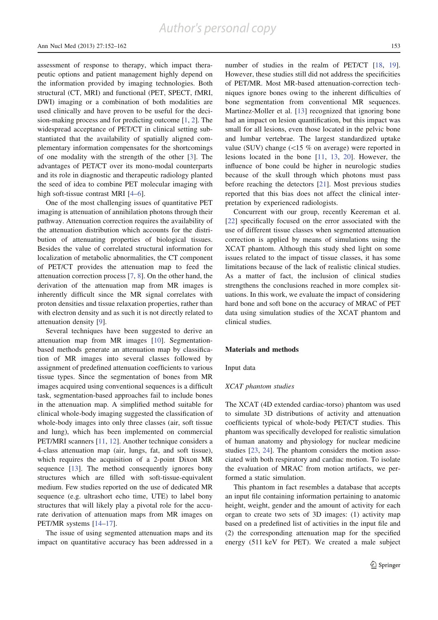assessment of response to therapy, which impact therapeutic options and patient management highly depend on the information provided by imaging technologies. Both structural (CT, MRI) and functional (PET, SPECT, fMRI, DWI) imaging or a combination of both modalities are used clinically and have proven to be useful for the decision-making process and for predicting outcome [1, 2]. The widespread acceptance of PET/CT in clinical setting substantiated that the availability of spatially aligned complementary information compensates for the shortcomings of one modality with the strength of the other [3]. The advantages of PET/CT over its mono-modal counterparts and its role in diagnostic and therapeutic radiology planted the seed of idea to combine PET molecular imaging with high soft-tissue contrast MRI [4–6].

One of the most challenging issues of quantitative PET imaging is attenuation of annihilation photons through their pathway. Attenuation correction requires the availability of the attenuation distribution which accounts for the distribution of attenuating properties of biological tissues. Besides the value of correlated structural information for localization of metabolic abnormalities, the CT component of PET/CT provides the attenuation map to feed the attenuation correction process [7, 8]. On the other hand, the derivation of the attenuation map from MR images is inherently difficult since the MR signal correlates with proton densities and tissue relaxation properties, rather than with electron density and as such it is not directly related to attenuation density [9].

Several techniques have been suggested to derive an attenuation map from MR images [10]. Segmentationbased methods generate an attenuation map by classification of MR images into several classes followed by assignment of predefined attenuation coefficients to various tissue types. Since the segmentation of bones from MR images acquired using conventional sequences is a difficult task, segmentation-based approaches fail to include bones in the attenuation map. A simplified method suitable for clinical whole-body imaging suggested the classification of whole-body images into only three classes (air, soft tissue and lung), which has been implemented on commercial PET/MRI scanners [11, 12]. Another technique considers a 4-class attenuation map (air, lungs, fat, and soft tissue), which requires the acquisition of a 2-point Dixon MR sequence [13]. The method consequently ignores bony structures which are filled with soft-tissue-equivalent medium. Few studies reported on the use of dedicated MR sequence (e.g. ultrashort echo time, UTE) to label bony structures that will likely play a pivotal role for the accurate derivation of attenuation maps from MR images on PET/MR systems [14–17].

The issue of using segmented attenuation maps and its impact on quantitative accuracy has been addressed in a number of studies in the realm of PET/CT [18, 19]. However, these studies still did not address the specificities of PET/MR. Most MR-based attenuation-correction techniques ignore bones owing to the inherent difficulties of bone segmentation from conventional MR sequences. Martinez-Moller et al. [13] recognized that ignoring bone had an impact on lesion quantification, but this impact was small for all lesions, even those located in the pelvic bone and lumbar vertebrae. The largest standardized uptake value (SUV) change  $\langle$  <15 % on average) were reported in lesions located in the bone [11, 13, 20]. However, the influence of bone could be higher in neurologic studies because of the skull through which photons must pass before reaching the detectors [21]. Most previous studies reported that this bias does not affect the clinical interpretation by experienced radiologists.

Concurrent with our group, recently Keereman et al. [22] specifically focused on the error associated with the use of different tissue classes when segmented attenuation correction is applied by means of simulations using the XCAT phantom. Although this study shed light on some issues related to the impact of tissue classes, it has some limitations because of the lack of realistic clinical studies. As a matter of fact, the inclusion of clinical studies strengthens the conclusions reached in more complex situations. In this work, we evaluate the impact of considering hard bone and soft bone on the accuracy of MRAC of PET data using simulation studies of the XCAT phantom and clinical studies.

### Materials and methods

Input data

# XCAT phantom studies

The XCAT (4D extended cardiac-torso) phantom was used to simulate 3D distributions of activity and attenuation coefficients typical of whole-body PET/CT studies. This phantom was specifically developed for realistic simulation of human anatomy and physiology for nuclear medicine studies [23, 24]. The phantom considers the motion associated with both respiratory and cardiac motion. To isolate the evaluation of MRAC from motion artifacts, we performed a static simulation.

This phantom in fact resembles a database that accepts an input file containing information pertaining to anatomic height, weight, gender and the amount of activity for each organ to create two sets of 3D images: (1) activity map based on a predefined list of activities in the input file and (2) the corresponding attenuation map for the specified energy (511 keV for PET). We created a male subject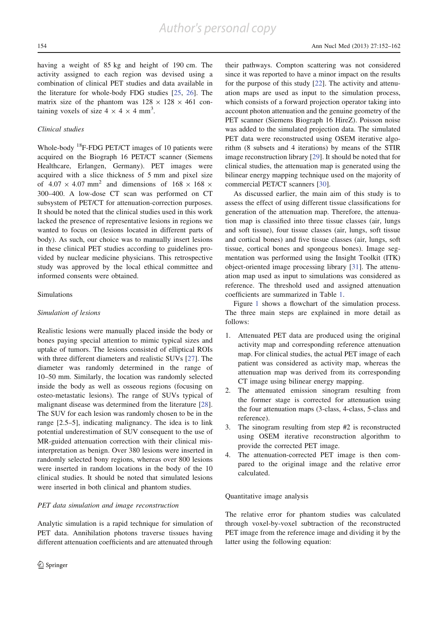having a weight of 85 kg and height of 190 cm. The activity assigned to each region was devised using a combination of clinical PET studies and data available in the literature for whole-body FDG studies [25, 26]. The matrix size of the phantom was  $128 \times 128 \times 461$  containing voxels of size  $4 \times 4 \times 4$  mm<sup>3</sup>.

# Clinical studies

Whole-body <sup>18</sup>F-FDG PET/CT images of 10 patients were acquired on the Biograph 16 PET/CT scanner (Siemens Healthcare, Erlangen, Germany). PET images were acquired with a slice thickness of 5 mm and pixel size of  $4.07 \times 4.07$  mm<sup>2</sup> and dimensions of  $168 \times 168 \times$ 300–400. A low-dose CT scan was performed on CT subsystem of PET/CT for attenuation-correction purposes. It should be noted that the clinical studies used in this work lacked the presence of representative lesions in regions we wanted to focus on (lesions located in different parts of body). As such, our choice was to manually insert lesions in these clinical PET studies according to guidelines provided by nuclear medicine physicians. This retrospective study was approved by the local ethical committee and informed consents were obtained.

## Simulations

#### Simulation of lesions

Realistic lesions were manually placed inside the body or bones paying special attention to mimic typical sizes and uptake of tumors. The lesions consisted of elliptical ROIs with three different diameters and realistic SUVs [27]. The diameter was randomly determined in the range of 10–50 mm. Similarly, the location was randomly selected inside the body as well as osseous regions (focusing on osteo-metastatic lesions). The range of SUVs typical of malignant disease was determined from the literature [28]. The SUV for each lesion was randomly chosen to be in the range [2.5–5], indicating malignancy. The idea is to link potential underestimation of SUV consequent to the use of MR-guided attenuation correction with their clinical misinterpretation as benign. Over 380 lesions were inserted in randomly selected bony regions, whereas over 800 lesions were inserted in random locations in the body of the 10 clinical studies. It should be noted that simulated lesions were inserted in both clinical and phantom studies.

### PET data simulation and image reconstruction

Analytic simulation is a rapid technique for simulation of PET data. Annihilation photons traverse tissues having different attenuation coefficients and are attenuated through their pathways. Compton scattering was not considered since it was reported to have a minor impact on the results for the purpose of this study [22]. The activity and attenuation maps are used as input to the simulation process, which consists of a forward projection operator taking into account photon attenuation and the genuine geometry of the PET scanner (Siemens Biograph 16 HireZ). Poisson noise was added to the simulated projection data. The simulated PET data were reconstructed using OSEM iterative algorithm (8 subsets and 4 iterations) by means of the STIR image reconstruction library [29]. It should be noted that for clinical studies, the attenuation map is generated using the bilinear energy mapping technique used on the majority of commercial PET/CT scanners [30].

As discussed earlier, the main aim of this study is to assess the effect of using different tissue classifications for generation of the attenuation map. Therefore, the attenuation map is classified into three tissue classes (air, lungs and soft tissue), four tissue classes (air, lungs, soft tissue and cortical bones) and five tissue classes (air, lungs, soft tissue, cortical bones and spongeous bones). Image segmentation was performed using the Insight Toolkit (ITK) object-oriented image processing library [31]. The attenuation map used as input to simulations was considered as reference. The threshold used and assigned attenuation coefficients are summarized in Table 1.

Figure 1 shows a flowchart of the simulation process. The three main steps are explained in more detail as follows:

- 1. Attenuated PET data are produced using the original activity map and corresponding reference attenuation map. For clinical studies, the actual PET image of each patient was considered as activity map, whereas the attenuation map was derived from its corresponding CT image using bilinear energy mapping.
- 2. The attenuated emission sinogram resulting from the former stage is corrected for attenuation using the four attenuation maps (3-class, 4-class, 5-class and reference).
- 3. The sinogram resulting from step #2 is reconstructed using OSEM iterative reconstruction algorithm to provide the corrected PET image.
- 4. The attenuation-corrected PET image is then compared to the original image and the relative error calculated.

#### Quantitative image analysis

The relative error for phantom studies was calculated through voxel-by-voxel subtraction of the reconstructed PET image from the reference image and dividing it by the latter using the following equation: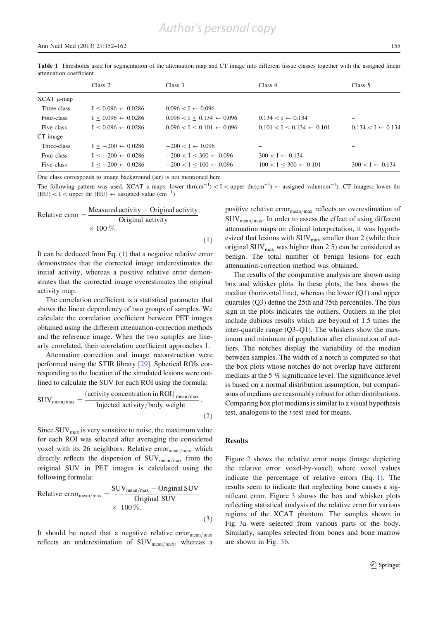Table 1 Thresholds used for segmentation of the attenuation map and CT image into different tissue classes together with the assigned linear attenuation coefficient

|                   | Class 2                       | Class 3                              | Class 4                              | Class 5                      |
|-------------------|-------------------------------|--------------------------------------|--------------------------------------|------------------------------|
| $XCAT$ $\mu$ -map |                               |                                      |                                      |                              |
| Three-class       | $I < 0.096 \leftarrow 0.0286$ | $0.096 < I \leftarrow 0.096$         |                                      |                              |
| Four-class        | $I < 0.096 \leftarrow 0.0286$ | $0.096 < I < 0.134 \leftarrow 0.096$ | $0.134 < I \leftarrow 0.134$         | -                            |
| Five-class        | $I < 0.096 \leftarrow 0.0286$ | $0.096 < I < 0.101 \leftarrow 0.096$ | $0.101 < I < 0.134 \leftarrow 0.101$ | $0.134 < I \leftarrow 0.134$ |
| CT image          |                               |                                      |                                      |                              |
| Three-class       | $I < -200 \leftarrow 0.0286$  | $-200 < I \leftarrow 0.096$          |                                      |                              |
| Four-class        | $I < -200 \leftarrow 0.0286$  | $-200 < I < 300 \leftarrow 0.096$    | $300 < I \leftarrow 0.134$           |                              |
| Five-class        | $I < -200 \leftarrow 0.0286$  | $-200 < I < 100 \leftarrow 0.096$    | $100 < I < 300 \leftarrow 0.101$     | $300 < I \leftarrow 0.134$   |

One class corresponds to image background (air) is not mentioned here

The following pattern was used. XCAT  $\mu$ -maps: lower thr(cm<sup>-1</sup>) < I < upper thr(cm<sup>-1</sup>)  $\leftarrow$  assigned value(cm<sup>-1</sup>). CT images: lower thr (HU) < I < upper thr (HU)  $\leftarrow$  assigned value (cm<sup>-1</sup>)

Relative error = 
$$
\frac{\text{Measured activity} - \text{Original activity}}{\text{Original activity}}
$$

$$
\times 100\,\%.
$$
 (1)

It can be deduced from Eq. (1) that a negative relative error demonstrates that the corrected image underestimates the initial activity, whereas a positive relative error demonstrates that the corrected image overestimates the original activity map.

The correlation coefficient is a statistical parameter that shows the linear dependency of two groups of samples. We calculate the correlation coefficient between PET images obtained using the different attenuation-correction methods and the reference image. When the two samples are linearly correlated, their correlation coefficient approaches 1.

Attenuation correction and image reconstruction were performed using the STIR library [29]. Spherical ROIs corresponding to the location of the simulated lesions were outlined to calculate the SUV for each ROI using the formula:

$$
SUV_{\text{mean/max}} = \frac{(\text{activity concentration in ROI})_{\text{mean/max}}}{\text{Injected activity/body weight}}.
$$
\n(2)

Since  $\text{SUV}_{\text{max}}$  is very sensitive to noise, the maximum value for each ROI was selected after averaging the considered voxel with its 26 neighbors. Relative error $_{\text{mean/max}}$  which directly reflects the dispersion of  $\text{SUV}_{\text{mean}/\text{max}}$  from the original SUV in PET images is calculated using the following formula:

Relative error<sub>mean/max</sub> = 
$$
\frac{\text{SUV}_{\text{mean/max}} - \text{Original SUV}}{\text{Original SUV}}
$$
  
× 100 %. (3)

It should be noted that a negative relative error $_{\text{mean/max}}$ reflects an underestimation of  $\text{SUV}_{\text{mean/max}}$ , whereas a positive relative error $_{\text{mean/max}}$  reflects an overestimation of  $\text{SUV}_{\text{mean}/\text{max}}$ . In order to assess the effect of using different attenuation maps on clinical interpretation, it was hypothesized that lesions with  $\text{SUV}_{\text{max}}$  smaller than 2 (while their original  $\text{SUV}_{\text{max}}$  was higher than 2.5) can be considered as benign. The total number of benign lesions for each attenuation-correction method was obtained.

The results of the comparative analysis are shown using box and whisker plots. In these plots, the box shows the median (horizontal line), whereas the lower (Q1) and upper quartiles (Q3) define the 25th and 75th percentiles. The plus sign in the plots indicates the outliers. Outliers in the plot include dubious results which are beyond of 1.5 times the inter-quartile range (Q3–Q1). The whiskers show the maximum and minimum of population after elimination of outliers. The notches display the variability of the median between samples. The width of a notch is computed so that the box plots whose notches do not overlap have different medians at the 5 % significance level. The significance level is based on a normal distribution assumption, but comparisons of medians are reasonably robust for other distributions. Comparing box plot medians is similar to a visual hypothesis test, analogous to the *t* test used for means.

## Results

Figure 2 shows the relative error maps (image depicting the relative error voxel-by-voxel) where voxel values indicate the percentage of relative errors (Eq. 1). The results seem to indicate that neglecting bone causes a significant error. Figure 3 shows the box and whisker plots reflecting statistical analysis of the relative error for various regions of the XCAT phantom. The samples shown in Fig. 3a were selected from various parts of the body. Similarly, samples selected from bones and bone marrow are shown in Fig. 3b.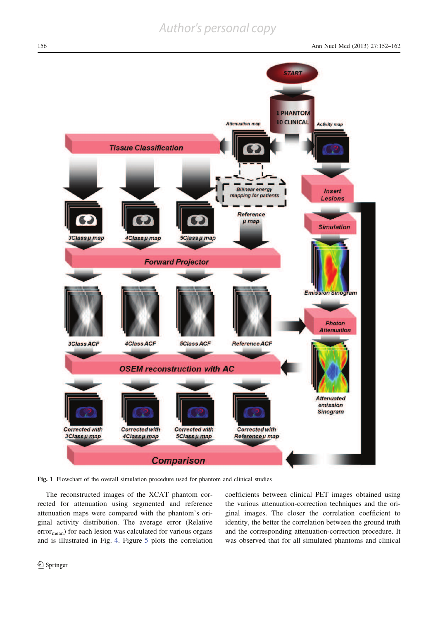

Fig. 1 Flowchart of the overall simulation procedure used for phantom and clinical studies

The reconstructed images of the XCAT phantom corrected for attenuation using segmented and reference attenuation maps were compared with the phantom's original activity distribution. The average error (Relative error<sub>mean</sub>) for each lesion was calculated for various organs and is illustrated in Fig. 4. Figure 5 plots the correlation coefficients between clinical PET images obtained using the various attenuation-correction techniques and the original images. The closer the correlation coefficient to identity, the better the correlation between the ground truth and the corresponding attenuation-correction procedure. It was observed that for all simulated phantoms and clinical

<sup>2</sup> Springer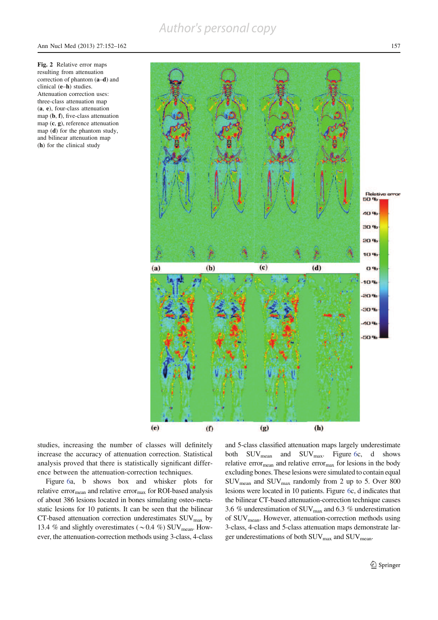



studies, increasing the number of classes will definitely increase the accuracy of attenuation correction. Statistical analysis proved that there is statistically significant difference between the attenuation-correction techniques.

Figure 6a, b shows box and whisker plots for relative error $_{\text{mean}}$  and relative error $_{\text{max}}$  for ROI-based analysis of about 386 lesions located in bones simulating osteo-metastatic lesions for 10 patients. It can be seen that the bilinear CT-based attenuation correction underestimates  $\text{SUV}_{\text{max}}$  by 13.4 % and slightly overestimates ( $\sim$  0.4 %) SUV<sub>mean</sub>. However, the attenuation-correction methods using 3-class, 4-class and 5-class classified attenuation maps largely underestimate both  $\text{SUV}_{\text{mean}}$  and  $\text{SUV}_{\text{max}}$ . Figure 6c, d shows relative error<sub>mean</sub> and relative error<sub>max</sub> for lesions in the body excluding bones. These lesions were simulated to contain equal SUVmean and SUVmax randomly from 2 up to 5. Over 800 lesions were located in 10 patients. Figure 6c, d indicates that the bilinear CT-based attenuation-correction technique causes 3.6  $%$  underestimation of SUV $_{\rm max}$  and 6.3  $%$  underestimation of SUV<sub>mean</sub>. However, attenuation-correction methods using 3-class, 4-class and 5-class attenuation maps demonstrate larger underestimations of both SUV<sub>max</sub> and SUV<sub>mean</sub>.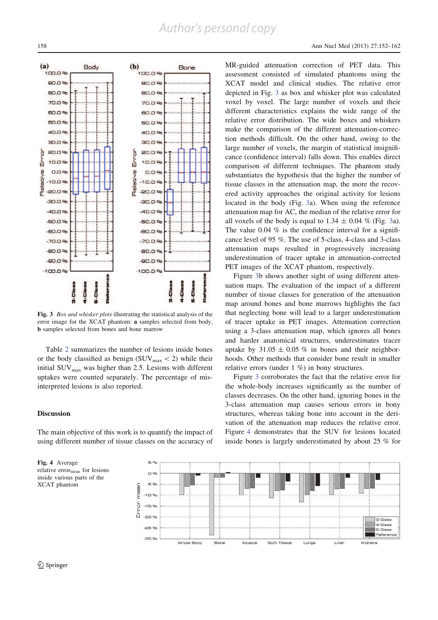

Fig. 3 *Box and whisker plots* illustrating the statistical analysis of the error image for the XCAT phantom: a samples selected from body, b samples selected from bones and bone marrow

Table 2 summarizes the number of lesions inside bones or the body classified as benign (SUV $_{\text{max}}$  < 2) while their initial  $\text{SUV}_{\text{max}}$  was higher than 2.5. Lesions with different uptakes were counted separately. The percentage of misinterpreted lesions is also reported.

# **Discussion**

The main objective of this work is to quantify the impact of using different number of tissue classes on the accuracy of

Fig. 4 Average relative error<sub>mean</sub> for lesions inside various parts of the XCAT phantom

MR-guided attenuation correction of PET data. This assessment consisted of simulated phantoms using the XCAT model and clinical studies. The relative error depicted in Fig. 3 as box and whisker plot was calculated voxel by voxel. The large number of voxels and their different characteristics explains the wide range of the relative error distribution. The wide boxes and whiskers make the comparison of the different attenuation-correction methods difficult. On the other hand, owing to the large number of voxels, the margin of statistical insignificance (confidence interval) falls down. This enables direct comparison of different techniques. The phantom study substantiates the hypothesis that the higher the number of tissue classes in the attenuation map, the more the recovered activity approaches the original activity for lesions located in the body (Fig. 3a). When using the reference attenuation map for AC, the median of the relative error for all voxels of the body is equal to  $1.34 \pm 0.04$  % (Fig. 3a). The value 0.04  $%$  is the confidence interval for a significance level of 95 %. The use of 5-class, 4-class and 3-class attenuation maps resulted in progressively increasing underestimation of tracer uptake in attenuation-corrected PET images of the XCAT phantom, respectively.

Figure 3b shows another sight of using different attenuation maps. The evaluation of the impact of a different number of tissue classes for generation of the attenuation map around bones and bone marrows highlights the fact that neglecting bone will lead to a larger underestimation of tracer uptake in PET images. Attenuation correction using a 3-class attenuation map, which ignores all bones and harder anatomical structures, underestimates tracer uptake by  $31.05 \pm 0.05$  % in bones and their neighborhoods. Other methods that consider bone result in smaller relative errors (under 1 %) in bony structures.

Figure 3 corroborates the fact that the relative error for the whole-body increases significantly as the number of classes decreases. On the other hand, ignoring bones in the 3-class attenuation map causes serious errors in bony structures, whereas taking bone into account in the derivation of the attenuation map reduces the relative error. Figure 4 demonstrates that the SUV for lesions located inside bones is largely underestimated by about 25 % for

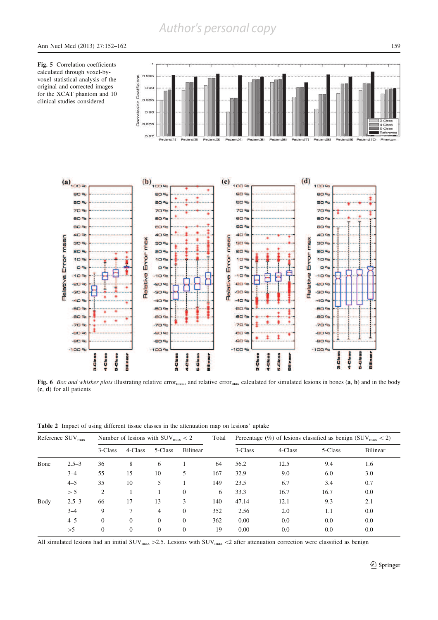Fig. 5 Correlation coefficients calculated through voxel-byvoxel statistical analysis of the original and corrected images for the XCAT phantom and 10 clinical studies considered



Fig. 6 Box and whisker plots illustrating relative error<sub>mean</sub> and relative error<sub>max</sub> calculated for simulated lesions in bones  $(a, b)$  and in the body (c, d) for all patients

|  | Table 2 Impact of using different tissue classes in the attenuation map on lesions' uptake |  |  |  |  |  |  |  |  |  |  |  |
|--|--------------------------------------------------------------------------------------------|--|--|--|--|--|--|--|--|--|--|--|
|--|--------------------------------------------------------------------------------------------|--|--|--|--|--|--|--|--|--|--|--|

| Reference $\rm{SUV}_{max}$ |           |          |          | Number of lesions with $\text{SUV}_{\text{max}} < 2$ |                 | Total | Percentage (%) of lesions classified as benign ( $\text{SUV}_{\text{max}}$ < 2) |         |         |          |
|----------------------------|-----------|----------|----------|------------------------------------------------------|-----------------|-------|---------------------------------------------------------------------------------|---------|---------|----------|
|                            |           | 3-Class  | 4-Class  | 5-Class                                              | <b>Bilinear</b> |       | 3-Class                                                                         | 4-Class | 5-Class | Bilinear |
| Bone                       | $2.5 - 3$ | 36       | 8        | 6                                                    |                 | 64    | 56.2                                                                            | 12.5    | 9.4     | 1.6      |
|                            | $3 - 4$   | 55       | 15       | 10                                                   | 5               | 167   | 32.9                                                                            | 9.0     | 6.0     | 3.0      |
|                            | $4 - 5$   | 35       | 10       | 5                                                    |                 | 149   | 23.5                                                                            | 6.7     | 3.4     | 0.7      |
|                            | > 5       | 2        |          |                                                      | $\overline{0}$  | 6     | 33.3                                                                            | 16.7    | 16.7    | 0.0      |
| Body                       | $2.5 - 3$ | 66       | 17       | 13                                                   | 3               | 140   | 47.14                                                                           | 12.1    | 9.3     | 2.1      |
|                            | $3 - 4$   | 9        | 7        | $\overline{4}$                                       | $\overline{0}$  | 352   | 2.56                                                                            | 2.0     | 1.1     | 0.0      |
|                            | $4 - 5$   | $\Omega$ | $\Omega$ | $\overline{0}$                                       | $\overline{0}$  | 362   | 0.00                                                                            | 0.0     | 0.0     | 0.0      |
|                            | >5        | $\Omega$ | $\theta$ | $\overline{0}$                                       | $\overline{0}$  | 19    | 0.00                                                                            | 0.0     | 0.0     | 0.0      |

All simulated lesions had an initial SUV<sub>max</sub> > 2.5. Lesions with SUV<sub>max</sub> < 2 after attenuation correction were classified as benign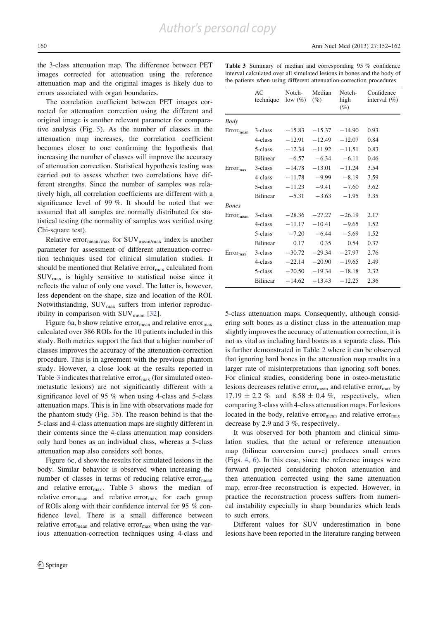the 3-class attenuation map. The difference between PET images corrected for attenuation using the reference attenuation map and the original images is likely due to errors associated with organ boundaries.

The correlation coefficient between PET images corrected for attenuation correction using the different and original image is another relevant parameter for comparative analysis (Fig. 5). As the number of classes in the attenuation map increases, the correlation coefficient becomes closer to one confirming the hypothesis that increasing the number of classes will improve the accuracy of attenuation correction. Statistical hypothesis testing was carried out to assess whether two correlations have different strengths. Since the number of samples was relatively high, all correlation coefficients are different with a significance level of 99 %. It should be noted that we assumed that all samples are normally distributed for statistical testing (the normality of samples was verified using Chi-square test).

Relative error $_{\text{mean/max}}$  for SUV $_{\text{mean/max}}$  index is another parameter for assessment of different attenuation-correction techniques used for clinical simulation studies. It should be mentioned that Relative error<sub>max</sub> calculated from SUVmax is highly sensitive to statistical noise since it reflects the value of only one voxel. The latter is, however, less dependent on the shape, size and location of the ROI. Notwithstanding,  $\text{SUV}_{\text{max}}$  suffers from inferior reproducibility in comparison with  $\text{SUV}_{\text{mean}}$  [32].

Figure 6a, b show relative error<sub>mean</sub> and relative error<sub>max</sub> calculated over 386 ROIs for the 10 patients included in this study. Both metrics support the fact that a higher number of classes improves the accuracy of the attenuation-correction procedure. This is in agreement with the previous phantom study. However, a close look at the results reported in Table 3 indicates that relative error $_{\text{max}}$  (for simulated osteometastatic lesions) are not significantly different with a significance level of 95 % when using 4-class and 5-class attenuation maps. This is in line with observations made for the phantom study (Fig. 3b). The reason behind is that the 5-class and 4-class attenuation maps are slightly different in their contents since the 4-class attenuation map considers only hard bones as an individual class, whereas a 5-class attenuation map also considers soft bones.

Figure 6c, d show the results for simulated lesions in the body. Similar behavior is observed when increasing the number of classes in terms of reducing relative error<sub>mean</sub> and relative error $_{\text{max}}$ . Table 3 shows the median of relative error<sub>mean</sub> and relative error<sub>max</sub> for each group of ROIs along with their confidence interval for 95 % confidence level. There is a small difference between relative error $_{\text{mean}}$  and relative error $_{\text{max}}$  when using the various attenuation-correction techniques using 4-class and Table 3 Summary of median and corresponding 95 % confidence interval calculated over all simulated lesions in bones and the body of the patients when using different attenuation-correction procedures

|                | AC<br>technique | Notch-<br>low (%) | Median<br>(%) | Notch-<br>high<br>$(\%)$ | Confidence<br>interval $(\% )$ |
|----------------|-----------------|-------------------|---------------|--------------------------|--------------------------------|
| Body           |                 |                   |               |                          |                                |
| $Error_{mean}$ | 3-class         | $-15.83$          | $-15.37$      | $-14.90$                 | 0.93                           |
|                | 4-class         | $-12.91$          | $-12.49$      | $-12.07$                 | 0.84                           |
|                | 5-class         | $-12.34$          | $-11.92$      | $-11.51$                 | 0.83                           |
|                | <b>Bilinear</b> | $-6.57$           | $-6.34$       | $-6.11$                  | 0.46                           |
| $Error_{max}$  | 3-class         | $-14.78$          | $-13.01$      | $-11.24$                 | 3.54                           |
|                | 4-class         | $-11.78$          | $-9.99$       | $-8.19$                  | 3.59                           |
|                | 5-class         | $-11.23$          | $-9.41$       | $-7.60$                  | 3.62                           |
|                | <b>Bilinear</b> | $-5.31$           | $-3.63$       | $-1.95$                  | 3.35                           |
| <b>Bones</b>   |                 |                   |               |                          |                                |
| $Error_{mean}$ | 3-class         | $-28.36$          | $-27.27$      | $-26.19$                 | 2.17                           |
|                | 4-class         | $-11.17$          | $-10.41$      | $-9.65$                  | 1.52                           |
|                | 5-class         | $-7.20$           | $-6.44$       | $-5.69$                  | 1.52                           |
|                | <b>Bilinear</b> | 0.17              | 0.35          | 0.54                     | 0.37                           |
| $Error_{max}$  | 3-class         | $-30.72$          | $-29.34$      | $-27.97$                 | 2.76                           |
|                | 4-class         | $-22.14$          | $-20.90$      | $-19.65$                 | 2.49                           |
|                | 5-class         | $-20.50$          | $-19.34$      | $-18.18$                 | 2.32                           |
|                | <b>Bilinear</b> | $-14.62$          | $-13.43$      | $-12.25$                 | 2.36                           |

5-class attenuation maps. Consequently, although considering soft bones as a distinct class in the attenuation map slightly improves the accuracy of attenuation correction, it is not as vital as including hard bones as a separate class. This is further demonstrated in Table 2 where it can be observed that ignoring hard bones in the attenuation map results in a larger rate of misinterpretations than ignoring soft bones. For clinical studies, considering bone in osteo-metastatic lesions decreases relative error<sub>mean</sub> and relative error<sub>max</sub> by  $17.19 \pm 2.2 \%$  and  $8.58 \pm 0.4 \%$ , respectively, when comparing 3-class with 4-class attenuation maps. For lesions located in the body, relative error<sub>mean</sub> and relative error<sub>max</sub> decrease by 2.9 and 3 %, respectively.

It was observed for both phantom and clinical simulation studies, that the actual or reference attenuation map (bilinear conversion curve) produces small errors (Figs. 4, 6). In this case, since the reference images were forward projected considering photon attenuation and then attenuation corrected using the same attenuation map, error-free reconstruction is expected. However, in practice the reconstruction process suffers from numerical instability especially in sharp boundaries which leads to such errors.

Different values for SUV underestimation in bone lesions have been reported in the literature ranging between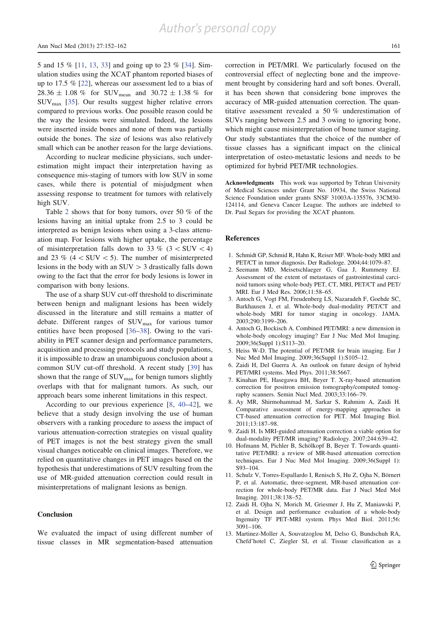5 and 15 % [11, 13, 33] and going up to 23 % [34]. Simulation studies using the XCAT phantom reported biases of up to 17.5 % [22], whereas our assessment led to a bias of  $28.36 \pm 1.08$  % for SUV<sub>mean</sub> and  $30.72 \pm 1.38$  % for  $\text{SUV}_{\text{max}}$  [35]. Our results suggest higher relative errors compared to previous works. One possible reason could be the way the lesions were simulated. Indeed, the lesions were inserted inside bones and none of them was partially outside the bones. The size of lesions was also relatively small which can be another reason for the large deviations.

According to nuclear medicine physicians, such underestimation might impact their interpretation having as consequence mis-staging of tumors with low SUV in some cases, while there is potential of misjudgment when assessing response to treatment for tumors with relatively high SUV.

Table 2 shows that for bony tumors, over 50 % of the lesions having an initial uptake from 2.5 to 3 could be interpreted as benign lesions when using a 3-class attenuation map. For lesions with higher uptake, the percentage of misinterpretation falls down to 33 % (3  $\times$  SUV  $<$  4) and 23 % ( $4 \lt SUV \lt 5$ ). The number of misinterpreted lesions in the body with an  $SUV > 3$  drastically falls down owing to the fact that the error for body lesions is lower in comparison with bony lesions.

The use of a sharp SUV cut-off threshold to discriminate between benign and malignant lesions has been widely discussed in the literature and still remains a matter of debate. Different ranges of SUV<sub>max</sub> for various tumor entities have been proposed [36–38]. Owing to the variability in PET scanner design and performance parameters, acquisition and processing protocols and study populations, it is impossible to draw an unambiguous conclusion about a common SUV cut-off threshold. A recent study [39] has shown that the range of  $\text{SUV}_{\text{max}}$  for benign tumors slightly overlaps with that for malignant tumors. As such, our approach bears some inherent limitations in this respect.

According to our previous experience [8, 40–42], we believe that a study design involving the use of human observers with a ranking procedure to assess the impact of various attenuation-correction strategies on visual quality of PET images is not the best strategy given the small visual changes noticeable on clinical images. Therefore, we relied on quantitative changes in PET images based on the hypothesis that underestimations of SUV resulting from the use of MR-guided attenuation correction could result in misinterpretations of malignant lesions as benign.

## **Conclusion**

We evaluated the impact of using different number of tissue classes in MR segmentation-based attenuation correction in PET/MRI. We particularly focused on the controversial effect of neglecting bone and the improvement brought by considering hard and soft bones. Overall, it has been shown that considering bone improves the accuracy of MR-guided attenuation correction. The quantitative assessment revealed a 50 % underestimation of SUVs ranging between 2.5 and 3 owing to ignoring bone, which might cause misinterpretation of bone tumor staging. Our study substantiates that the choice of the number of tissue classes has a significant impact on the clinical interpretation of osteo-metastatic lesions and needs to be optimized for hybrid PET/MR technologies.

Acknowledgments This work was supported by Tehran University of Medical Sciences under Grant No. 10934, the Swiss National Science Foundation under grants SNSF 31003A-135576, 33CM30- 124114, and Geneva Cancer League. The authors are indebted to Dr. Paul Segars for providing the XCAT phantom.

#### References

- 1. Schmidt GP, Schmid R, Hahn K, Reiser MF. Whole-body MRI and PET/CT in tumor diagnosis. Der Radiologe. 2004;44:1079–87.
- 2. Seemann MD, Meisetschlaeger G, Gaa J, Rummeny EJ. Assessment of the extent of metastases of gastrointestinal carcinoid tumors using whole-body PET, CT, MRI, PET/CT and PET/ MRI. Eur J Med Res. 2006;11:58–65.
- 3. Antoch G, Vogt FM, Freudenberg LS, Nazaradeh F, Goehde SC, Barkhausen J, et al. Whole-body dual-modality PET/CT and whole-body MRI for tumor staging in oncology. JAMA. 2003;290:3199–206.
- 4. Antoch G, Bockisch A. Combined PET/MRI: a new dimension in whole-body oncology imaging? Eur J Nuc Med Mol Imaging. 2009;36(Suppl 1):S113–20.
- 5. Heiss W-D. The potential of PET/MR for brain imaging. Eur J Nuc Med Mol Imaging. 2009;36(Suppl 1):S105–12.
- 6. Zaidi H, Del Guerra A. An outlook on future design of hybrid PET/MRI systems. Med Phys. 2011;38:5667.
- 7. Kinahan PE, Hasegawa BH, Beyer T. X-ray-based attenuation correction for positron emission tomography/computed tomography scanners. Semin Nucl Med. 2003;33:166–79.
- 8. Ay MR, Shirmohammad M, Sarkar S, Rahmim A, Zaidi H. Comparative assessment of energy-mapping approaches in CT-based attenuation correction for PET. Mol Imaging Biol. 2011;13:187–98.
- 9. Zaidi H. Is MRI-guided attenuation correction a viable option for dual-modality PET/MR imaging? Radiology. 2007;244:639–42.
- 10. Hofmann M, Pichler B, Schölkopf B, Beyer T. Towards quantitative PET/MRI: a review of MR-based attenuation correction techniques. Eur J Nuc Med Mol Imaging. 2009;36(Suppl 1): S93–104.
- 11. Schulz V, Torres-Espallardo I, Renisch S, Hu Z, Ojha N, Börnert P, et al. Automatic, three-segment, MR-based attenuation correction for whole-body PET/MR data. Eur J Nucl Med Mol Imaging. 2011;38:138–52.
- 12. Zaidi H, Ojha N, Morich M, Griesmer J, Hu Z, Maniawski P, et al. Design and performance evaluation of a whole-body Ingenuity TF PET-MRI system. Phys Med Biol. 2011;56: 3091–106.
- 13. Martinez-Moller A, Souvatzoglou M, Delso G, Bundschuh RA, Chefd'hotel C, Ziegler SI, et al. Tissue classification as a